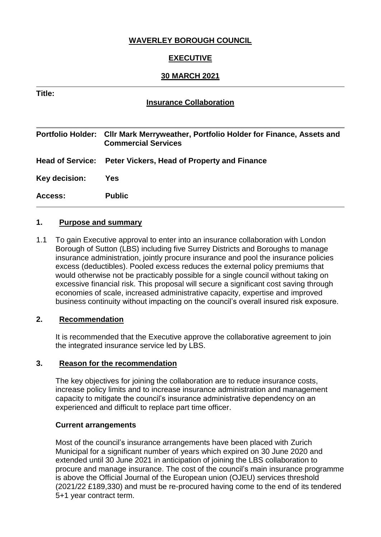## **WAVERLEY BOROUGH COUNCIL**

## **EXECUTIVE**

### **30 MARCH 2021**

### **Title:**

### **Insurance Collaboration**

**Portfolio Holder: Cllr Mark Merryweather, Portfolio Holder for Finance, Assets and Commercial Services Head of Service: Peter Vickers, Head of Property and Finance Key decision: Yes Access: Public**

#### **1. Purpose and summary**

1.1 To gain Executive approval to enter into an insurance collaboration with London Borough of Sutton (LBS) including five Surrey Districts and Boroughs to manage insurance administration, jointly procure insurance and pool the insurance policies excess (deductibles). Pooled excess reduces the external policy premiums that would otherwise not be practicably possible for a single council without taking on excessive financial risk. This proposal will secure a significant cost saving through economies of scale, increased administrative capacity, expertise and improved business continuity without impacting on the council's overall insured risk exposure.

#### **2. Recommendation**

It is recommended that the Executive approve the collaborative agreement to join the integrated insurance service led by LBS.

#### **3. Reason for the recommendation**

The key objectives for joining the collaboration are to reduce insurance costs, increase policy limits and to increase insurance administration and management capacity to mitigate the council's insurance administrative dependency on an experienced and difficult to replace part time officer.

#### **Current arrangements**

Most of the council's insurance arrangements have been placed with Zurich Municipal for a significant number of years which expired on 30 June 2020 and extended until 30 June 2021 in anticipation of joining the LBS collaboration to procure and manage insurance. The cost of the council's main insurance programme is above the Official Journal of the European union (OJEU) services threshold (2021/22 £189,330) and must be re-procured having come to the end of its tendered 5+1 year contract term.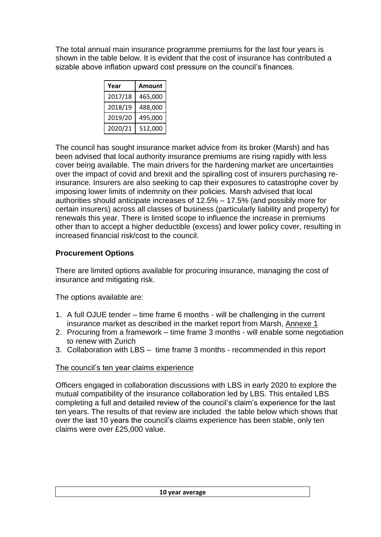The total annual main insurance programme premiums for the last four years is shown in the table below. It is evident that the cost of insurance has contributed a sizable above inflation upward cost pressure on the council's finances.

| Year    | Amount  |
|---------|---------|
| 2017/18 | 465,000 |
| 2018/19 | 488,000 |
| 2019/20 | 495,000 |
| 2020/21 | 512,000 |

The council has sought insurance market advice from its broker (Marsh) and has been advised that local authority insurance premiums are rising rapidly with less cover being available. The main drivers for the hardening market are uncertainties over the impact of covid and brexit and the spiralling cost of insurers purchasing reinsurance. Insurers are also seeking to cap their exposures to catastrophe cover by imposing lower limits of indemnity on their policies. Marsh advised that local authorities should anticipate increases of 12.5% – 17.5% (and possibly more for certain insurers) across all classes of business (particularly liability and property) for renewals this year. There is limited scope to influence the increase in premiums other than to accept a higher deductible (excess) and lower policy cover, resulting in increased financial risk/cost to the council.

# **Procurement Options**

There are limited options available for procuring insurance, managing the cost of insurance and mitigating risk.

The options available are:

- 1. A full OJUE tender time frame 6 months will be challenging in the current insurance market as described in the market report from Marsh, Annexe 1
- 2. Procuring from a framework time frame 3 months will enable some negotiation to renew with Zurich
- 3. Collaboration with LBS time frame 3 months recommended in this report

# The council's ten year claims experience

Officers engaged in collaboration discussions with LBS in early 2020 to explore the mutual compatibility of the insurance collaboration led by LBS. This entailed LBS completing a full and detailed review of the council's claim's experience for the last ten years. The results of that review are included the table below which shows that over the last 10 years the council's claims experience has been stable, only ten claims were over £25,000 value.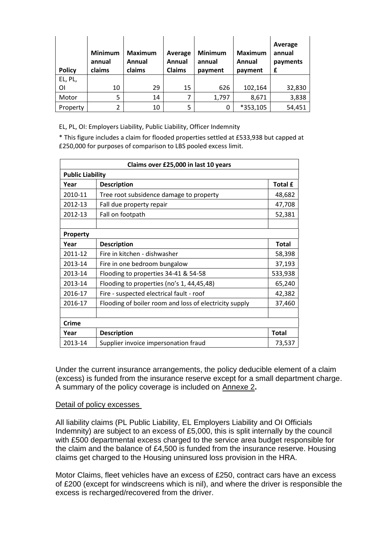| <b>Policy</b> | <b>Minimum</b><br>annual<br>claims | <b>Maximum</b><br>Annual<br>claims | Average<br>Annual<br><b>Claims</b> | <b>Minimum</b><br>annual<br>payment | <b>Maximum</b><br>Annual<br>payment | Average<br>annual<br>payments<br>£ |
|---------------|------------------------------------|------------------------------------|------------------------------------|-------------------------------------|-------------------------------------|------------------------------------|
| EL, PL,       |                                    |                                    |                                    |                                     |                                     |                                    |
| ΟI            | 10                                 | 29                                 | 15                                 | 626                                 | 102,164                             | 32,830                             |
| Motor         | 5                                  | 14                                 | 7                                  | 1,797                               | 8,671                               | 3,838                              |
| Property      | 2                                  | 10                                 | 5                                  | 0                                   | *353,105                            | 54,451                             |

EL, PL, OI: Employers Liability, Public Liability, Officer Indemnity

\* This figure includes a claim for flooded properties settled at £533,938 but capped at £250,000 for purposes of comparison to LBS pooled excess limit.

| Claims over £25,000 in last 10 years |                                                        |                |  |  |
|--------------------------------------|--------------------------------------------------------|----------------|--|--|
| <b>Public Liability</b>              |                                                        |                |  |  |
| Year                                 | <b>Description</b>                                     | <b>Total £</b> |  |  |
| 2010-11                              | Tree root subsidence damage to property                | 48,682         |  |  |
| 2012-13                              | Fall due property repair                               | 47,708         |  |  |
| 2012-13                              | Fall on footpath                                       | 52,381         |  |  |
| Property                             |                                                        |                |  |  |
| Year                                 | <b>Description</b>                                     | <b>Total</b>   |  |  |
| 2011-12                              | Fire in kitchen - dishwasher                           | 58,398         |  |  |
| 2013-14                              | Fire in one bedroom bungalow                           | 37,193         |  |  |
| 2013-14                              | Flooding to properties 34-41 & 54-58                   | 533,938        |  |  |
| 2013-14                              | Flooding to properties (no's 1, 44,45,48)              | 65,240         |  |  |
| 2016-17                              | Fire - suspected electrical fault - roof               | 42,382         |  |  |
| 2016-17                              | Flooding of boiler room and loss of electricity supply | 37,460         |  |  |
|                                      |                                                        |                |  |  |
| <b>Crime</b>                         |                                                        |                |  |  |
| Year                                 | <b>Description</b>                                     | <b>Total</b>   |  |  |
| 2013-14                              | Supplier invoice impersonation fraud                   | 73,537         |  |  |

Under the current insurance arrangements, the policy deducible element of a claim (excess) is funded from the insurance reserve except for a small department charge. A summary of the policy coverage is included on Annexe 2**.**

#### Detail of policy excesses

All liability claims (PL Public Liability, EL Employers Liability and OI Officials Indemnity) are subject to an excess of £5,000, this is split internally by the council with £500 departmental excess charged to the service area budget responsible for the claim and the balance of £4,500 is funded from the insurance reserve. Housing claims get charged to the Housing uninsured loss provision in the HRA.

Motor Claims, fleet vehicles have an excess of £250, contract cars have an excess of £200 (except for windscreens which is nil), and where the driver is responsible the excess is recharged/recovered from the driver.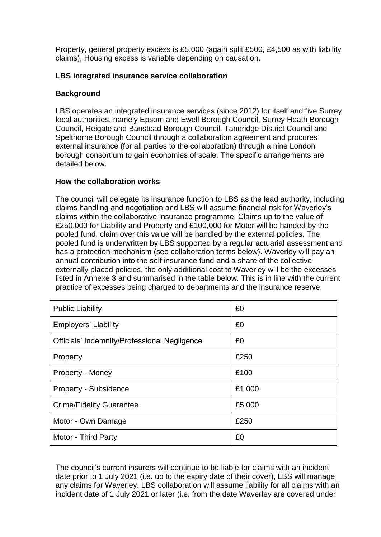Property, general property excess is £5,000 (again split £500, £4,500 as with liability claims), Housing excess is variable depending on causation.

### **LBS integrated insurance service collaboration**

#### **Background**

LBS operates an integrated insurance services (since 2012) for itself and five Surrey local authorities, namely Epsom and Ewell Borough Council, Surrey Heath Borough Council, Reigate and Banstead Borough Council, Tandridge District Council and Spelthorne Borough Council through a collaboration agreement and procures external insurance (for all parties to the collaboration) through a nine London borough consortium to gain economies of scale. The specific arrangements are detailed below.

#### **How the collaboration works**

The council will delegate its insurance function to LBS as the lead authority, including claims handling and negotiation and LBS will assume financial risk for Waverley's claims within the collaborative insurance programme. Claims up to the value of £250,000 for Liability and Property and £100,000 for Motor will be handed by the pooled fund, claim over this value will be handled by the external policies. The pooled fund is underwritten by LBS supported by a regular actuarial assessment and has a protection mechanism (see collaboration terms below). Waverley will pay an annual contribution into the self insurance fund and a share of the collective externally placed policies, the only additional cost to Waverley will be the excesses listed in Annexe 3 and summarised in the table below. This is in line with the current practice of excesses being charged to departments and the insurance reserve.

| <b>Public Liability</b>                      | £0     |
|----------------------------------------------|--------|
| <b>Employers' Liability</b>                  | £0     |
| Officials' Indemnity/Professional Negligence | £0     |
| Property                                     | £250   |
| Property - Money                             | £100   |
| <b>Property - Subsidence</b>                 | £1,000 |
| <b>Crime/Fidelity Guarantee</b>              | £5,000 |
| Motor - Own Damage                           | £250   |
| Motor - Third Party                          | £0     |

The council's current insurers will continue to be liable for claims with an incident date prior to 1 July 2021 (i.e. up to the expiry date of their cover), LBS will manage any claims for Waverley. LBS collaboration will assume liability for all claims with an incident date of 1 July 2021 or later (i.e. from the date Waverley are covered under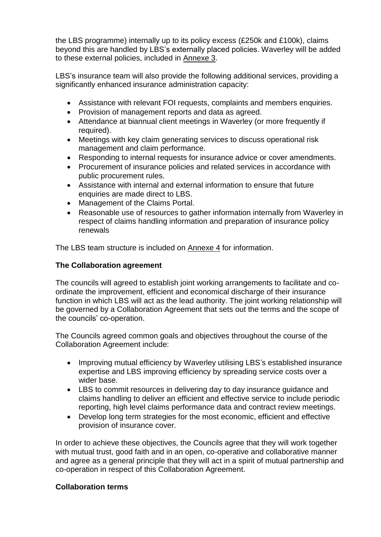the LBS programme) internally up to its policy excess (£250k and £100k), claims beyond this are handled by LBS's externally placed policies. Waverley will be added to these external policies, included in Annexe 3.

LBS's insurance team will also provide the following additional services, providing a significantly enhanced insurance administration capacity:

- Assistance with relevant FOI requests, complaints and members enquiries.
- Provision of management reports and data as agreed.
- Attendance at biannual client meetings in Waverley (or more frequently if required).
- Meetings with key claim generating services to discuss operational risk management and claim performance.
- Responding to internal requests for insurance advice or cover amendments.
- Procurement of insurance policies and related services in accordance with public procurement rules.
- Assistance with internal and external information to ensure that future enquiries are made direct to LBS.
- Management of the Claims Portal.
- Reasonable use of resources to gather information internally from Waverley in respect of claims handling information and preparation of insurance policy renewals

The LBS team structure is included on Annexe 4 for information.

## **The Collaboration agreement**

The councils will agreed to establish joint working arrangements to facilitate and coordinate the improvement, efficient and economical discharge of their insurance function in which LBS will act as the lead authority. The joint working relationship will be governed by a Collaboration Agreement that sets out the terms and the scope of the councils' co-operation.

The Councils agreed common goals and objectives throughout the course of the Collaboration Agreement include:

- Improving mutual efficiency by Waverley utilising LBS's established insurance expertise and LBS improving efficiency by spreading service costs over a wider base.
- LBS to commit resources in delivering day to day insurance guidance and claims handling to deliver an efficient and effective service to include periodic reporting, high level claims performance data and contract review meetings.
- Develop long term strategies for the most economic, efficient and effective provision of insurance cover.

In order to achieve these objectives, the Councils agree that they will work together with mutual trust, good faith and in an open, co-operative and collaborative manner and agree as a general principle that they will act in a spirit of mutual partnership and co-operation in respect of this Collaboration Agreement.

### **Collaboration terms**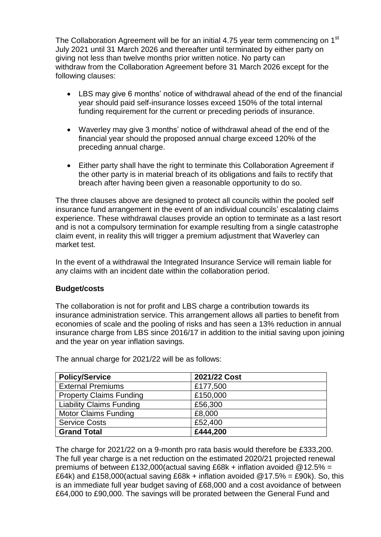The Collaboration Agreement will be for an initial 4.75 year term commencing on 1<sup>st</sup> July 2021 until 31 March 2026 and thereafter until terminated by either party on giving not less than twelve months prior written notice. No party can withdraw from the Collaboration Agreement before 31 March 2026 except for the following clauses:

- LBS may give 6 months' notice of withdrawal ahead of the end of the financial year should paid self-insurance losses exceed 150% of the total internal funding requirement for the current or preceding periods of insurance.
- Waverley may give 3 months' notice of withdrawal ahead of the end of the financial year should the proposed annual charge exceed 120% of the preceding annual charge.
- Either party shall have the right to terminate this Collaboration Agreement if the other party is in material breach of its obligations and fails to rectify that breach after having been given a reasonable opportunity to do so.

The three clauses above are designed to protect all councils within the pooled self insurance fund arrangement in the event of an individual councils' escalating claims experience. These withdrawal clauses provide an option to terminate as a last resort and is not a compulsory termination for example resulting from a single catastrophe claim event, in reality this will trigger a premium adjustment that Waverley can market test.

In the event of a withdrawal the Integrated Insurance Service will remain liable for any claims with an incident date within the collaboration period.

#### **Budget/costs**

The collaboration is not for profit and LBS charge a contribution towards its insurance administration service. This arrangement allows all parties to benefit from economies of scale and the pooling of risks and has seen a 13% reduction in annual insurance charge from LBS since 2016/17 in addition to the initial saving upon joining and the year on year inflation savings.

| <b>Policy/Service</b>           | 2021/22 Cost |  |
|---------------------------------|--------------|--|
| <b>External Premiums</b>        | £177,500     |  |
| <b>Property Claims Funding</b>  | £150,000     |  |
| <b>Liability Claims Funding</b> | £56,300      |  |
| <b>Motor Claims Funding</b>     | £8,000       |  |
| <b>Service Costs</b>            | £52,400      |  |
| <b>Grand Total</b>              | £444,200     |  |

The annual charge for 2021/22 will be as follows:

The charge for 2021/22 on a 9-month pro rata basis would therefore be £333,200. The full year charge is a net reduction on the estimated 2020/21 projected renewal premiums of between £132,000(actual saving £68k + inflation avoided @12.5% = £64k) and £158,000(actual saving £68k + inflation avoided  $@17.5% = 290k$ ). So, this is an immediate full year budget saving of £68,000 and a cost avoidance of between £64,000 to £90,000. The savings will be prorated between the General Fund and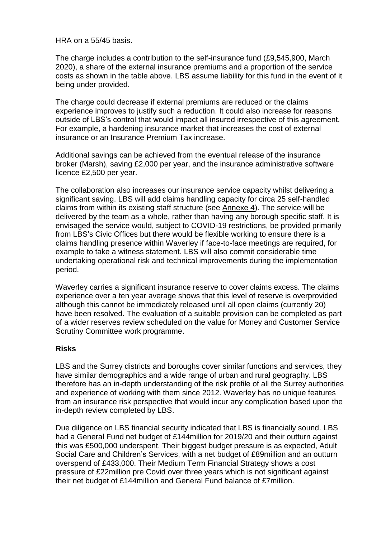HRA on a 55/45 basis.

The charge includes a contribution to the self-insurance fund (£9,545,900, March 2020), a share of the external insurance premiums and a proportion of the service costs as shown in the table above. LBS assume liability for this fund in the event of it being under provided.

The charge could decrease if external premiums are reduced or the claims experience improves to justify such a reduction. It could also increase for reasons outside of LBS's control that would impact all insured irrespective of this agreement. For example, a hardening insurance market that increases the cost of external insurance or an Insurance Premium Tax increase.

Additional savings can be achieved from the eventual release of the insurance broker (Marsh), saving £2,000 per year, and the insurance administrative software licence £2,500 per year.

The collaboration also increases our insurance service capacity whilst delivering a significant saving. LBS will add claims handling capacity for circa 25 self-handled claims from within its existing staff structure (see Annexe 4). The service will be delivered by the team as a whole, rather than having any borough specific staff. It is envisaged the service would, subject to COVID-19 restrictions, be provided primarily from LBS's Civic Offices but there would be flexible working to ensure there is a claims handling presence within Waverley if face-to-face meetings are required, for example to take a witness statement. LBS will also commit considerable time undertaking operational risk and technical improvements during the implementation period.

Waverley carries a significant insurance reserve to cover claims excess. The claims experience over a ten year average shows that this level of reserve is overprovided although this cannot be immediately released until all open claims (currently 20) have been resolved. The evaluation of a suitable provision can be completed as part of a wider reserves review scheduled on the value for Money and Customer Service Scrutiny Committee work programme.

#### **Risks**

LBS and the Surrey districts and boroughs cover similar functions and services, they have similar demographics and a wide range of urban and rural geography. LBS therefore has an in-depth understanding of the risk profile of all the Surrey authorities and experience of working with them since 2012. Waverley has no unique features from an insurance risk perspective that would incur any complication based upon the in-depth review completed by LBS.

Due diligence on LBS financial security indicated that LBS is financially sound. LBS had a General Fund net budget of £144million for 2019/20 and their outturn against this was £500,000 underspent. Their biggest budget pressure is as expected, Adult Social Care and Children's Services, with a net budget of £89million and an outturn overspend of £433,000. Their Medium Term Financial Strategy shows a cost pressure of £22million pre Covid over three years which is not significant against their net budget of £144million and General Fund balance of £7million.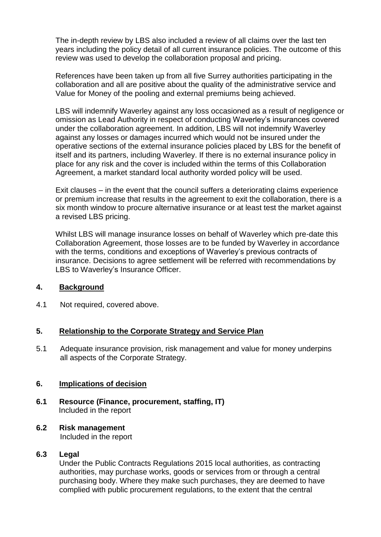The in-depth review by LBS also included a review of all claims over the last ten years including the policy detail of all current insurance policies. The outcome of this review was used to develop the collaboration proposal and pricing.

References have been taken up from all five Surrey authorities participating in the collaboration and all are positive about the quality of the administrative service and Value for Money of the pooling and external premiums being achieved.

LBS will indemnify Waverley against any loss occasioned as a result of negligence or omission as Lead Authority in respect of conducting Waverley's insurances covered under the collaboration agreement. In addition, LBS will not indemnify Waverley against any losses or damages incurred which would not be insured under the operative sections of the external insurance policies placed by LBS for the benefit of itself and its partners, including Waverley. If there is no external insurance policy in place for any risk and the cover is included within the terms of this Collaboration Agreement, a market standard local authority worded policy will be used.

Exit clauses – in the event that the council suffers a deteriorating claims experience or premium increase that results in the agreement to exit the collaboration, there is a six month window to procure alternative insurance or at least test the market against a revised LBS pricing.

Whilst LBS will manage insurance losses on behalf of Waverley which pre-date this Collaboration Agreement, those losses are to be funded by Waverley in accordance with the terms, conditions and exceptions of Waverley's previous contracts of insurance. Decisions to agree settlement will be referred with recommendations by LBS to Waverley's Insurance Officer.

#### **4. Background**

4.1 Not required, covered above.

### **5. Relationship to the Corporate Strategy and Service Plan**

5.1 Adequate insurance provision, risk management and value for money underpins all aspects of the Corporate Strategy.

#### **6. Implications of decision**

**6.1 Resource (Finance, procurement, staffing, IT)** Included in the report

#### **6.2 Risk management** Included in the report

# **6.3 Legal**

Under the Public Contracts Regulations 2015 local authorities, as contracting authorities, may purchase works, goods or services from or through a central purchasing body. Where they make such purchases, they are deemed to have complied with public procurement regulations, to the extent that the central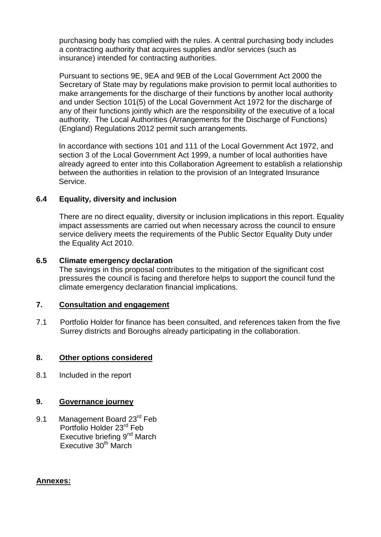purchasing body has complied with the rules. A central purchasing body includes a contracting authority that acquires supplies and/or services (such as insurance) intended for contracting authorities.

Pursuant to sections 9E, 9EA and 9EB of the Local Government Act 2000 the Secretary of State may by regulations make provision to permit local authorities to make arrangements for the discharge of their functions by another local authority and under Section 101(5) of the Local Government Act 1972 for the discharge of any of their functions jointly which are the responsibility of the executive of a local authority. The Local Authorities (Arrangements for the Discharge of Functions) (England) Regulations 2012 permit such arrangements.

In accordance with sections 101 and 111 of the Local Government Act 1972, and section 3 of the Local Government Act 1999, a number of local authorities have already agreed to enter into this Collaboration Agreement to establish a relationship between the authorities in relation to the provision of an Integrated Insurance Service.

#### **6.4 Equality, diversity and inclusion**

There are no direct equality, diversity or inclusion implications in this report. Equality impact assessments are carried out when necessary across the council to ensure service delivery meets the requirements of the Public Sector Equality Duty under the Equality Act 2010.

#### **6.5 Climate emergency declaration**

The savings in this proposal contributes to the mitigation of the significant cost pressures the council is facing and therefore helps to support the council fund the climate emergency declaration financial implications.

#### **7. Consultation and engagement**

7.1 Portfolio Holder for finance has been consulted, and references taken from the five Surrey districts and Boroughs already participating in the collaboration.

#### **8. Other options considered**

8.1 Included in the report

#### **9. Governance journey**

9.1 Management Board 23<sup>rd</sup> Feb Portfolio Holder 23<sup>rd</sup> Feb Executive briefing 9<sup>nd</sup> March Executive  $30<sup>th</sup>$  March

#### **Annexes:**